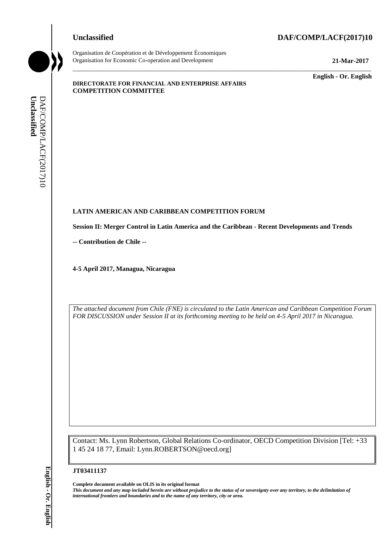#### **Unclassified DAF/COMP/LACF(2017)10**



Organisation de Coopération et de Développement Économiques Organisation for Economic Co-operation and Development **21-Mar-2017**

\_\_\_\_\_\_\_\_\_\_\_\_\_ **English - Or. English**

#### **DIRECTORATE FOR FINANCIAL AND ENTERPRISE AFFAIRS COMPETITION COMMITTEE**

#### **LATIN AMERICAN AND CARIBBEAN COMPETITION FORUM**

**Session II: Merger Control in Latin America and the Caribbean - Recent Developments and Trends**

\_\_\_\_\_\_\_\_\_\_\_\_\_\_\_\_\_\_\_\_\_\_\_\_\_\_\_\_\_\_\_\_\_\_\_\_\_\_\_\_\_\_\_\_\_\_\_\_\_\_\_\_\_\_\_\_\_\_\_\_\_\_\_\_\_\_\_\_\_\_\_\_\_\_\_\_\_\_\_\_\_\_\_\_\_\_\_\_\_\_\_

**-- Contribution de Chile --**

**4-5 April 2017, Managua, Nicaragua**

*The attached document from Chile (FNE) is circulated to the Latin American and Caribbean Competition Forum FOR DISCUSSION under Session II at its forthcoming meeting to be held on 4-5 April 2017 in Nicaragua.*

Contact: Ms. Lynn Robertson, Global Relations Co-ordinator, OECD Competition Division [Tel: +33 1 45 24 18 77, Email: Lynn.ROBERTSON@oecd.org]

#### **JT03411137**

**Complete document available on OLIS in its original format** *This document and any map included herein are without prejudice to the status of or sovereignty over any territory, to the delimitation of*  **ii** *international II* **interactional from the name of any territorial from the name of any territorial or area.** *iii* $\frac{1}{2}$  **<b>Contribution dc Chite** --<br>
4-5 April 2017, Managua, Nicaragua<br>
4-5 April 2017, Managua,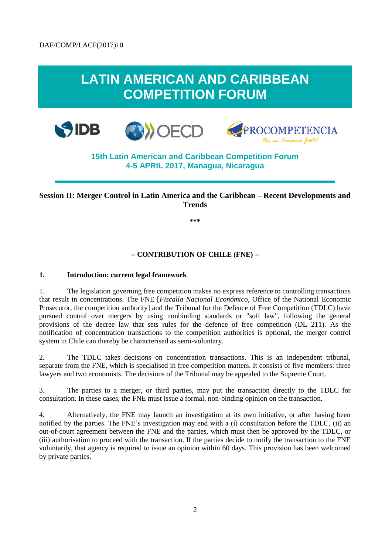# **LATIN AMERICAN AND CARIBBEAN COMPETITION FORUM**







# **15th Latin American and Caribbean Competition Forum 4-5 APRIL 2017, Managua, Nicaragua**

## **Session II: Merger Control in Latin America and the Caribbean – Recent Developments and Trends**

**\*\*\***

#### **-- CONTRIBUTION OF CHILE (FNE) --**

#### **1. Introduction: current legal framework**

1. The legislation governing free competition makes no express reference to controlling transactions that result in concentrations. The FNE [*Fiscalía Nacional Económico*, Office of the National Economic Prosecutor, the competition authority] and the Tribunal for the Defence of Free Competition (TDLC) have pursued control over mergers by using nonbinding standards or "soft law", following the general provisions of the decree law that sets rules for the defence of free competition (DL 211). As the notification of concentration transactions to the competition authorities is optional, the merger control system in Chile can thereby be characterised as semi-voluntary.

2. The TDLC takes decisions on concentration transactions. This is an independent tribunal, separate from the FNE, which is specialised in free competition matters. It consists of five members: three lawyers and two economists. The decisions of the Tribunal may be appealed to the Supreme Court.

3. The parties to a merger, or third parties, may put the transaction directly to the TDLC for consultation. In these cases, the FNE must issue a formal, non-binding opinion on the transaction.

4. Alternatively, the FNE may launch an investigation at its own initiative, or after having been notified by the parties. The FNE's investigation may end with a (i) consultation before the TDLC, (ii) an out-of-court agreement between the FNE and the parties, which must then be approved by the TDLC, or (iii) authorisation to proceed with the transaction. If the parties decide to notify the transaction to the FNE voluntarily, that agency is required to issue an opinion within 60 days. This provision has been welcomed by private parties.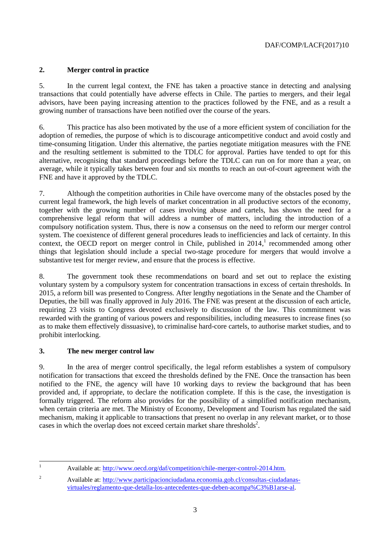### **2. Merger control in practice**

5. In the current legal context, the FNE has taken a proactive stance in detecting and analysing transactions that could potentially have adverse effects in Chile. The parties to mergers, and their legal advisors, have been paying increasing attention to the practices followed by the FNE, and as a result a growing number of transactions have been notified over the course of the years.

6. This practice has also been motivated by the use of a more efficient system of conciliation for the adoption of remedies, the purpose of which is to discourage anticompetitive conduct and avoid costly and time-consuming litigation. Under this alternative, the parties negotiate mitigation measures with the FNE and the resulting settlement is submitted to the TDLC for approval. Parties have tended to opt for this alternative, recognising that standard proceedings before the TDLC can run on for more than a year, on average, while it typically takes between four and six months to reach an out-of-court agreement with the FNE and have it approved by the TDLC.

7. Although the competition authorities in Chile have overcome many of the obstacles posed by the current legal framework, the high levels of market concentration in all productive sectors of the economy, together with the growing number of cases involving abuse and cartels, has shown the need for a comprehensive legal reform that will address a number of matters, including the introduction of a compulsory notification system. Thus, there is now a consensus on the need to reform our merger control system. The coexistence of different general procedures leads to inefficiencies and lack of certainty. In this context, the OECD report on merger control in Chile, published in 2014,<sup>1</sup> recommended among other things that legislation should include a special two-stage procedure for mergers that would involve a substantive test for merger review, and ensure that the process is effective.

8. The government took these recommendations on board and set out to replace the existing voluntary system by a compulsory system for concentration transactions in excess of certain thresholds. In 2015, a reform bill was presented to Congress. After lengthy negotiations in the Senate and the Chamber of Deputies, the bill was finally approved in July 2016. The FNE was present at the discussion of each article, requiring 23 visits to Congress devoted exclusively to discussion of the law. This commitment was rewarded with the granting of various powers and responsibilities, including measures to increase fines (so as to make them effectively dissuasive), to criminalise hard-core cartels, to authorise market studies, and to prohibit interlocking.

#### **3. The new merger control law**

9. In the area of merger control specifically, the legal reform establishes a system of compulsory notification for transactions that exceed the thresholds defined by the FNE. Once the transaction has been notified to the FNE, the agency will have 10 working days to review the background that has been provided and, if appropriate, to declare the notification complete. If this is the case, the investigation is formally triggered. The reform also provides for the possibility of a simplified notification mechanism, when certain criteria are met. The Ministry of Economy, Development and Tourism has regulated the said mechanism, making it applicable to transactions that present no overlap in any relevant market, or to those cases in which the overlap does not exceed certain market share thresholds<sup>2</sup>.

 $\mathbf{1}$ 

<sup>1</sup> Available at: [http://www.oecd.org/daf/competition/chile-merger-control-2014.htm.](http://www.oecd.org/daf/competition/chile-merger-control-2014.htm)

<sup>2</sup> Available at: [http://www.participacionciudadana.economia.gob.cl/consultas-ciudadanas](http://www.participacionciudadana.economia.gob.cl/consultas-ciudadanas-virtuales/reglamento-que-detalla-los-antecedentes-que-deben-acompa%C3%B1arse-al)[virtuales/reglamento-que-detalla-los-antecedentes-que-deben-acompa%C3%B1arse-al.](http://www.participacionciudadana.economia.gob.cl/consultas-ciudadanas-virtuales/reglamento-que-detalla-los-antecedentes-que-deben-acompa%C3%B1arse-al)